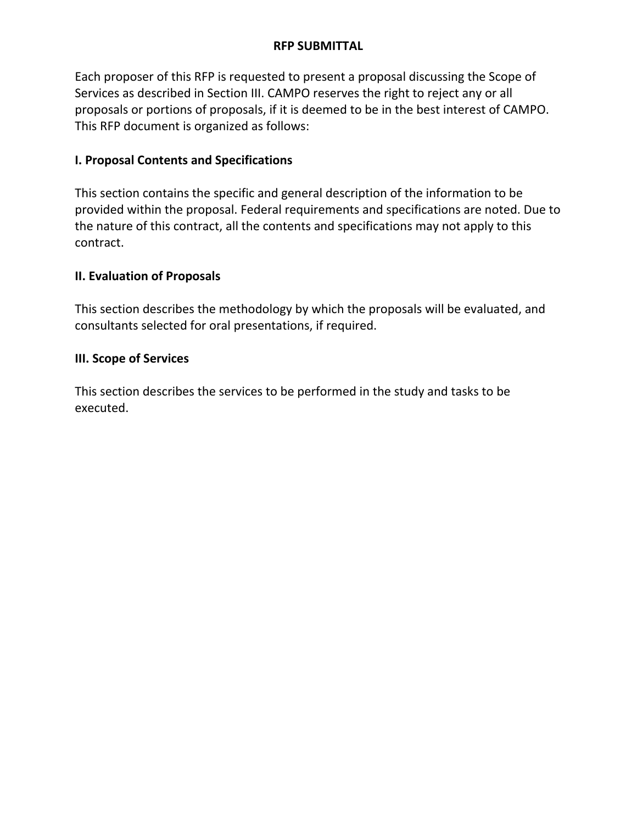#### OFFER SUBMITTED BY

By the signature below, I certify that I have submitted a binding offer:

| Signature of Person Authorized to Sign Offer | Date |
|----------------------------------------------|------|
|                                              |      |
|                                              |      |

# **\*\*\*SIGNATURE FOR SUBMITTAL REQUIRED\*\*\***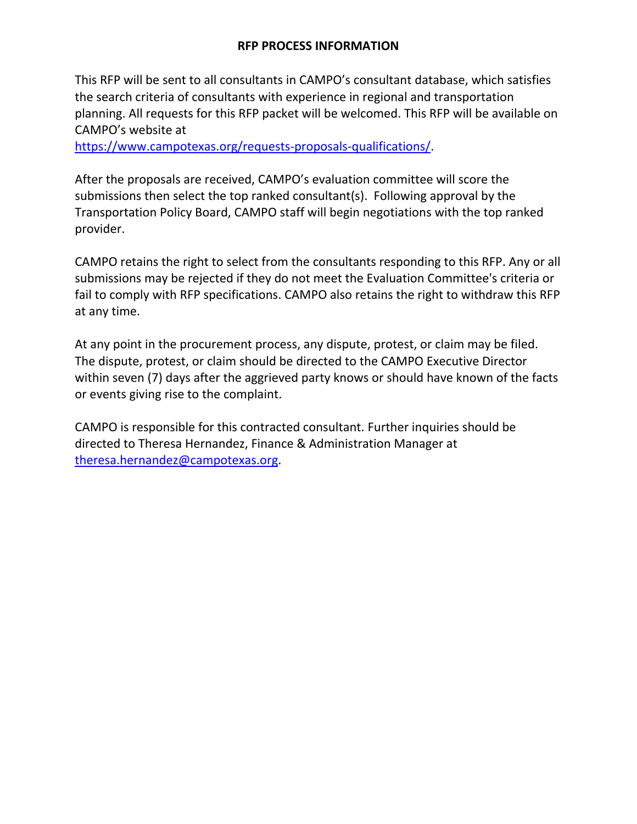### **RFP SUBMITTAL**

Each proposer of this RFP is requested to present a proposal discussing the Scope of Services as described in Section III. CAMPO reserves the right to reject any or all proposals or portions of proposals, if it is deemed to be in the best interest of CAMPO. This RFP document is organized as follows:

### **I. Proposal Contents and Specifications**

This section contains the specific and general description of the information to be provided within the proposal. Federal requirements and specifications are noted. Due to the nature of this contract, all the contents and specifications may not apply to this contract.

## **II. Evaluation of Proposals**

This section describes the methodology by which the proposals will be evaluated, and consultants selected for oral presentations, if required.

## **III. Scope of Services**

This section describes the services to be performed in the study and tasks to be executed.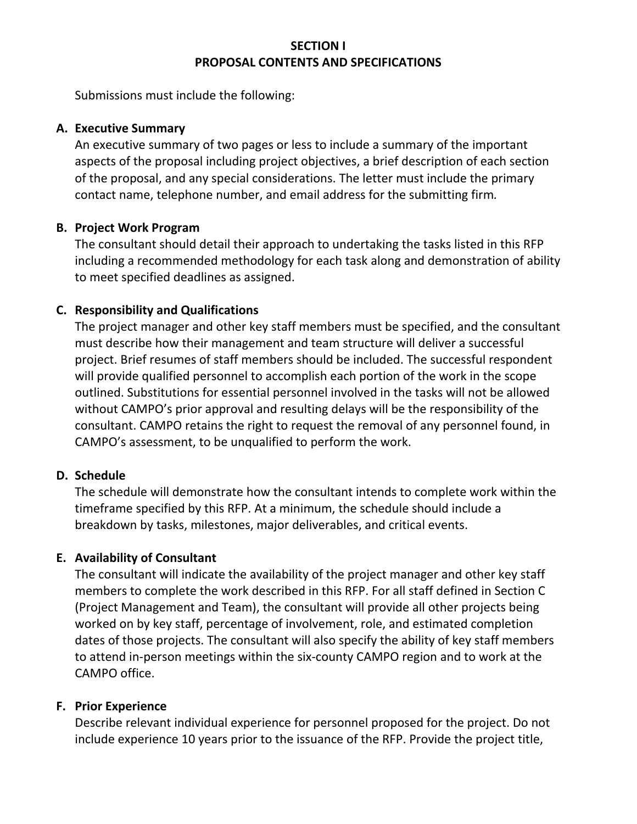#### **RFP PROCESS INFORMATION**

This RFP will be sent to all consultants in CAMPO's consultant database, which satisfies the search criteria of consultants with experience in regional and transportation planning. All requests for this RFP packet will be welcomed. This RFP will be available on CAMPO's website at

https://www.campotexas.org/requests-proposals-qualifications/.

After the proposals are received, CAMPO's evaluation committee will score the submissions then select the top ranked consultant(s). Following approval by the Transportation Policy Board, CAMPO staff will begin negotiations with the top ranked provider.

CAMPO retains the right to select from the consultants responding to this RFP. Any or all submissions may be rejected if they do not meet the Evaluation Committee's criteria or fail to comply with RFP specifications. CAMPO also retains the right to withdraw this RFP at any time.

At any point in the procurement process, any dispute, protest, or claim may be filed. The dispute, protest, or claim should be directed to the CAMPO Executive Director within seven (7) days after the aggrieved party knows or should have known of the facts or events giving rise to the complaint.

CAMPO is responsible for this contracted consultant. Further inquiries should be directed to Theresa Hernandez, Finance & Administration Manager at theresa.hernandez@campotexas.org.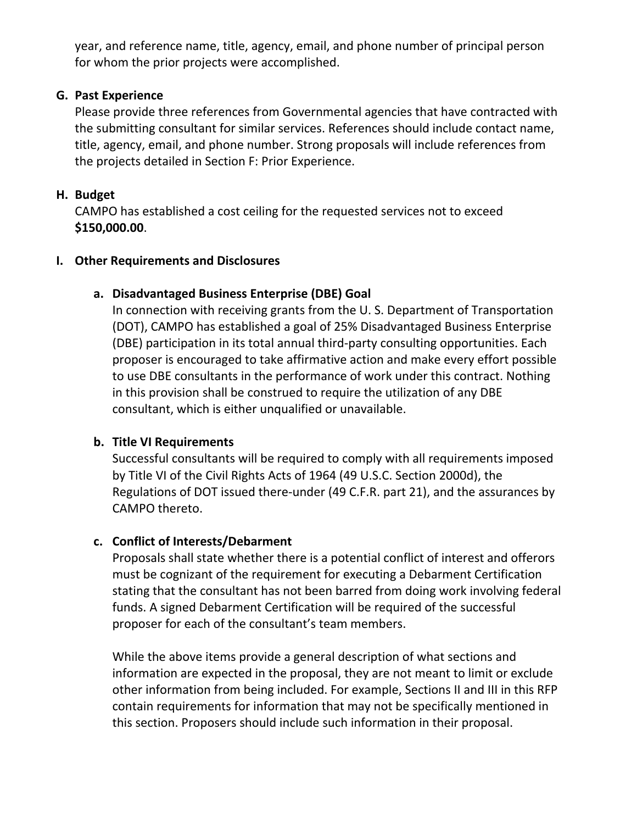## **SECTION I PROPOSAL CONTENTS AND SPECIFICATIONS**

Submissions must include the following:

#### **A. Executive Summary**

An executive summary of two pages or less to include a summary of the important aspects of the proposal including project objectives, a brief description of each section of the proposal, and any special considerations. The letter must include the primary contact name, telephone number, and email address for the submitting firm*.*

#### **B. Project Work Program**

The consultant should detail their approach to undertaking the tasks listed in this RFP including a recommended methodology for each task along and demonstration of ability to meet specified deadlines as assigned.

#### **C. Responsibility and Qualifications**

The project manager and other key staff members must be specified, and the consultant must describe how their management and team structure will deliver a successful project. Brief resumes of staff members should be included. The successful respondent will provide qualified personnel to accomplish each portion of the work in the scope outlined. Substitutions for essential personnel involved in the tasks will not be allowed without CAMPO's prior approval and resulting delays will be the responsibility of the consultant. CAMPO retains the right to request the removal of any personnel found, in CAMPO's assessment, to be unqualified to perform the work.

#### **D. Schedule**

The schedule will demonstrate how the consultant intends to complete work within the timeframe specified by this RFP. At a minimum, the schedule should include a breakdown by tasks, milestones, major deliverables, and critical events.

#### **E. Availability of Consultant**

The consultant will indicate the availability of the project manager and other key staff members to complete the work described in this RFP. For all staff defined in Section C (Project Management and Team), the consultant will provide all other projects being worked on by key staff, percentage of involvement, role, and estimated completion dates of those projects. The consultant will also specify the ability of key staff members to attend in‐person meetings within the six‐county CAMPO region and to work at the CAMPO office.

#### **F. Prior Experience**

Describe relevant individual experience for personnel proposed for the project. Do not include experience 10 years prior to the issuance of the RFP. Provide the project title,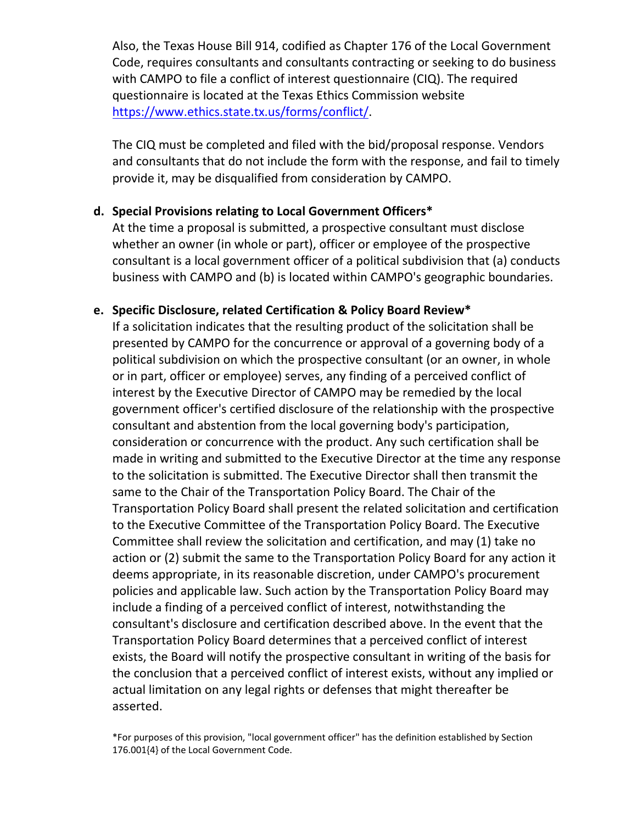year, and reference name, title, agency, email, and phone number of principal person for whom the prior projects were accomplished.

## **G. Past Experience**

Please provide three references from Governmental agencies that have contracted with the submitting consultant for similar services. References should include contact name, title, agency, email, and phone number. Strong proposals will include references from the projects detailed in Section F: Prior Experience.

# **H. Budget**

CAMPO has established a cost ceiling for the requested services not to exceed **\$150,000.00**.

## **I. Other Requirements and Disclosures**

## **a. Disadvantaged Business Enterprise (DBE) Goal**

In connection with receiving grants from the U. S. Department of Transportation (DOT), CAMPO has established a goal of 25% Disadvantaged Business Enterprise (DBE) participation in its total annual third‐party consulting opportunities. Each proposer is encouraged to take affirmative action and make every effort possible to use DBE consultants in the performance of work under this contract. Nothing in this provision shall be construed to require the utilization of any DBE consultant, which is either unqualified or unavailable.

## **b. Title VI Requirements**

Successful consultants will be required to comply with all requirements imposed by Title VI of the Civil Rights Acts of 1964 (49 U.S.C. Section 2000d), the Regulations of DOT issued there‐under (49 C.F.R. part 21), and the assurances by CAMPO thereto.

## **c. Conflict of Interests/Debarment**

Proposals shall state whether there is a potential conflict of interest and offerors must be cognizant of the requirement for executing a Debarment Certification stating that the consultant has not been barred from doing work involving federal funds. A signed Debarment Certification will be required of the successful proposer for each of the consultant's team members.

While the above items provide a general description of what sections and information are expected in the proposal, they are not meant to limit or exclude other information from being included. For example, Sections II and III in this RFP contain requirements for information that may not be specifically mentioned in this section. Proposers should include such information in their proposal.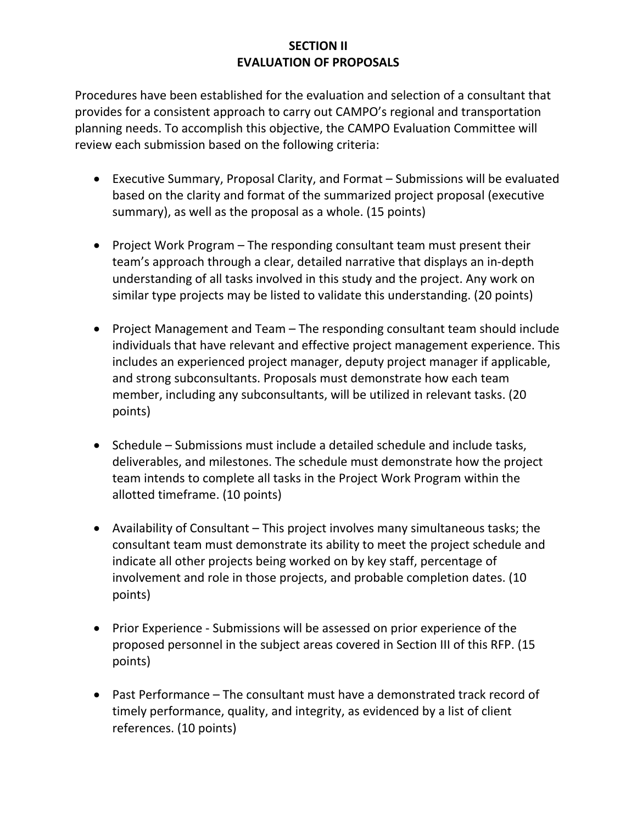Also, the Texas House Bill 914, codified as Chapter 176 of the Local Government Code, requires consultants and consultants contracting or seeking to do business with CAMPO to file a conflict of interest questionnaire (CIQ). The required questionnaire is located at the Texas Ethics Commission website https://www.ethics.state.tx.us/forms/conflict/.

The CIQ must be completed and filed with the bid/proposal response. Vendors and consultants that do not include the form with the response, and fail to timely provide it, may be disqualified from consideration by CAMPO.

#### **d. Special Provisions relating to Local Government Officers\***

At the time a proposal is submitted, a prospective consultant must disclose whether an owner (in whole or part), officer or employee of the prospective consultant is a local government officer of a political subdivision that (a) conducts business with CAMPO and (b) is located within CAMPO's geographic boundaries.

#### **e. Specific Disclosure, related Certification & Policy Board Review\***

If a solicitation indicates that the resulting product of the solicitation shall be presented by CAMPO for the concurrence or approval of a governing body of a political subdivision on which the prospective consultant (or an owner, in whole or in part, officer or employee) serves, any finding of a perceived conflict of interest by the Executive Director of CAMPO may be remedied by the local government officer's certified disclosure of the relationship with the prospective consultant and abstention from the local governing body's participation, consideration or concurrence with the product. Any such certification shall be made in writing and submitted to the Executive Director at the time any response to the solicitation is submitted. The Executive Director shall then transmit the same to the Chair of the Transportation Policy Board. The Chair of the Transportation Policy Board shall present the related solicitation and certification to the Executive Committee of the Transportation Policy Board. The Executive Committee shall review the solicitation and certification, and may (1) take no action or (2) submit the same to the Transportation Policy Board for any action it deems appropriate, in its reasonable discretion, under CAMPO's procurement policies and applicable law. Such action by the Transportation Policy Board may include a finding of a perceived conflict of interest, notwithstanding the consultant's disclosure and certification described above. In the event that the Transportation Policy Board determines that a perceived conflict of interest exists, the Board will notify the prospective consultant in writing of the basis for the conclusion that a perceived conflict of interest exists, without any implied or actual limitation on any legal rights or defenses that might thereafter be asserted.

\*For purposes of this provision, "local government officer" has the definition established by Section 176.001{4} of the Local Government Code.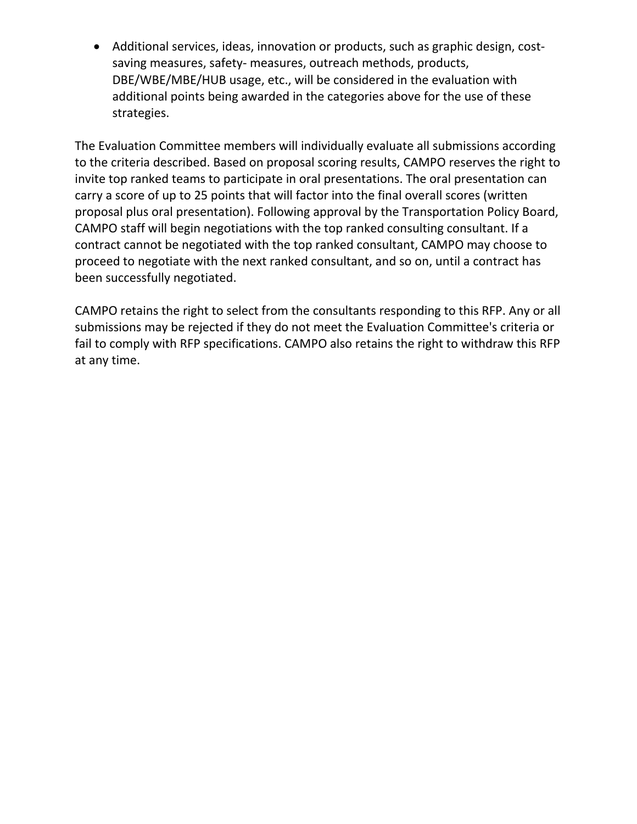## **SECTION II EVALUATION OF PROPOSALS**

Procedures have been established for the evaluation and selection of a consultant that provides for a consistent approach to carry out CAMPO's regional and transportation planning needs. To accomplish this objective, the CAMPO Evaluation Committee will review each submission based on the following criteria:

- Executive Summary, Proposal Clarity, and Format Submissions will be evaluated based on the clarity and format of the summarized project proposal (executive summary), as well as the proposal as a whole. (15 points)
- Project Work Program  $-$  The responding consultant team must present their team's approach through a clear, detailed narrative that displays an in‐depth understanding of all tasks involved in this study and the project. Any work on similar type projects may be listed to validate this understanding. (20 points)
- Project Management and Team The responding consultant team should include individuals that have relevant and effective project management experience. This includes an experienced project manager, deputy project manager if applicable, and strong subconsultants. Proposals must demonstrate how each team member, including any subconsultants, will be utilized in relevant tasks. (20 points)
- Schedule Submissions must include a detailed schedule and include tasks, deliverables, and milestones. The schedule must demonstrate how the project team intends to complete all tasks in the Project Work Program within the allotted timeframe. (10 points)
- Availability of Consultant This project involves many simultaneous tasks; the consultant team must demonstrate its ability to meet the project schedule and indicate all other projects being worked on by key staff, percentage of involvement and role in those projects, and probable completion dates. (10 points)
- Prior Experience Submissions will be assessed on prior experience of the proposed personnel in the subject areas covered in Section III of this RFP. (15 points)
- Past Performance The consultant must have a demonstrated track record of timely performance, quality, and integrity, as evidenced by a list of client references. (10 points)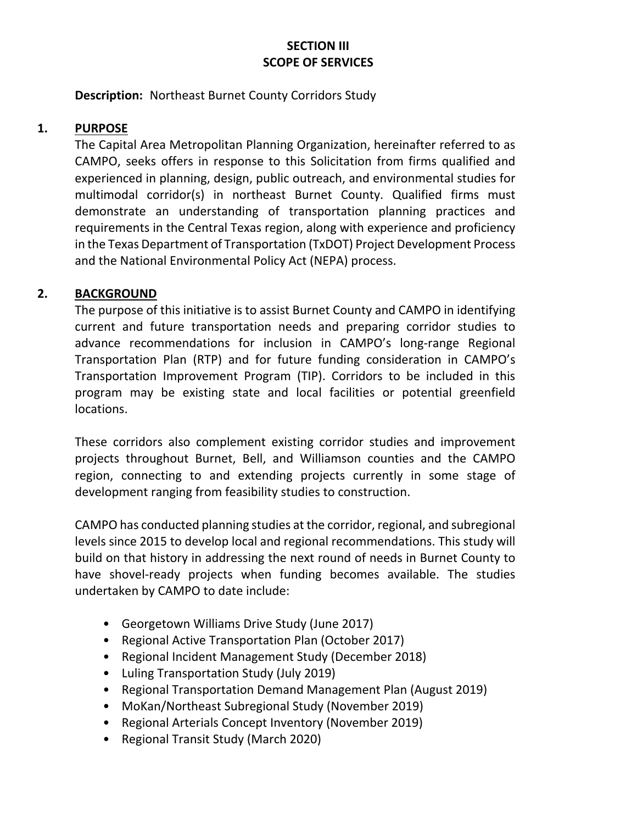● Additional services, ideas, innovation or products, such as graphic design, costsaving measures, safety- measures, outreach methods, products, DBE/WBE/MBE/HUB usage, etc., will be considered in the evaluation with additional points being awarded in the categories above for the use of these strategies.

The Evaluation Committee members will individually evaluate all submissions according to the criteria described. Based on proposal scoring results, CAMPO reserves the right to invite top ranked teams to participate in oral presentations. The oral presentation can carry a score of up to 25 points that will factor into the final overall scores (written proposal plus oral presentation). Following approval by the Transportation Policy Board, CAMPO staff will begin negotiations with the top ranked consulting consultant. If a contract cannot be negotiated with the top ranked consultant, CAMPO may choose to proceed to negotiate with the next ranked consultant, and so on, until a contract has been successfully negotiated.

CAMPO retains the right to select from the consultants responding to this RFP. Any or all submissions may be rejected if they do not meet the Evaluation Committee's criteria or fail to comply with RFP specifications. CAMPO also retains the right to withdraw this RFP at any time.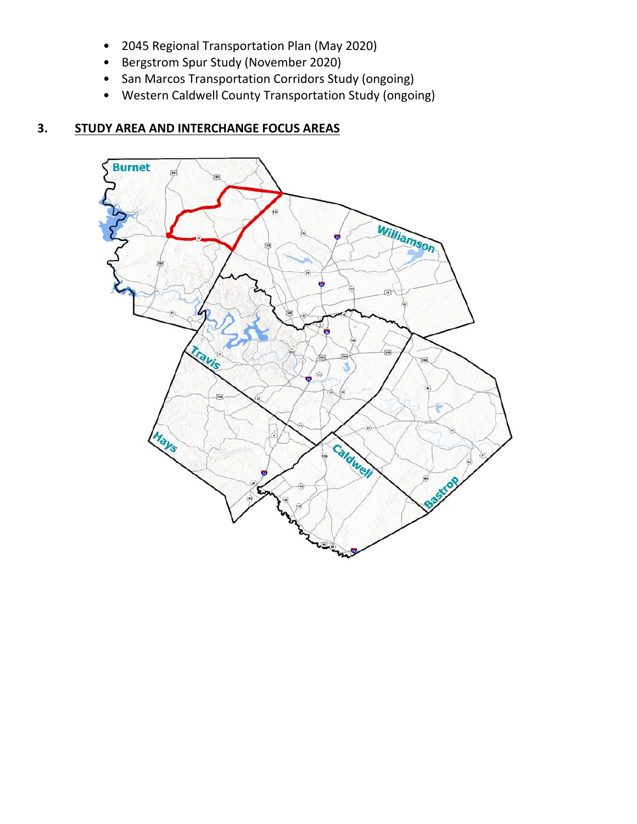# **SECTION III SCOPE OF SERVICES**

**Description: Northeast Burnet County Corridors Study** 

## **1. PURPOSE**

The Capital Area Metropolitan Planning Organization, hereinafter referred to as CAMPO, seeks offers in response to this Solicitation from firms qualified and experienced in planning, design, public outreach, and environmental studies for multimodal corridor(s) in northeast Burnet County. Qualified firms must demonstrate an understanding of transportation planning practices and requirements in the Central Texas region, along with experience and proficiency in the Texas Department of Transportation (TxDOT) Project Development Process and the National Environmental Policy Act (NEPA) process.

## **2. BACKGROUND**

The purpose of this initiative is to assist Burnet County and CAMPO in identifying current and future transportation needs and preparing corridor studies to advance recommendations for inclusion in CAMPO's long‐range Regional Transportation Plan (RTP) and for future funding consideration in CAMPO's Transportation Improvement Program (TIP). Corridors to be included in this program may be existing state and local facilities or potential greenfield locations.

These corridors also complement existing corridor studies and improvement projects throughout Burnet, Bell, and Williamson counties and the CAMPO region, connecting to and extending projects currently in some stage of development ranging from feasibility studies to construction.

CAMPO has conducted planning studies at the corridor, regional, and subregional levels since 2015 to develop local and regional recommendations. This study will build on that history in addressing the next round of needs in Burnet County to have shovel-ready projects when funding becomes available. The studies undertaken by CAMPO to date include:

- Georgetown Williams Drive Study (June 2017)
- Regional Active Transportation Plan (October 2017)
- Regional Incident Management Study (December 2018)
- Luling Transportation Study (July 2019)
- Regional Transportation Demand Management Plan (August 2019)
- MoKan/Northeast Subregional Study (November 2019)
- Regional Arterials Concept Inventory (November 2019)
- Regional Transit Study (March 2020)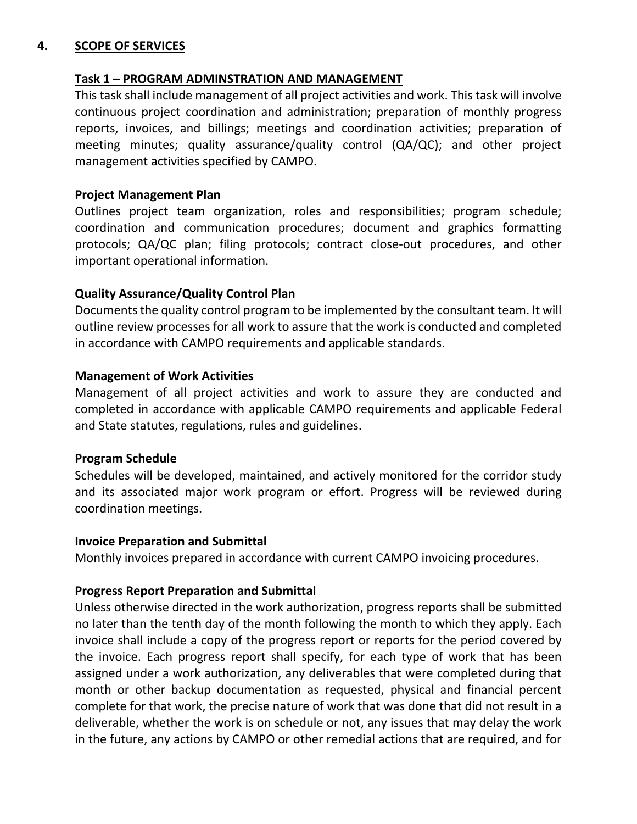- 2045 Regional Transportation Plan (May 2020)
- Bergstrom Spur Study (November 2020)
- San Marcos Transportation Corridors Study (ongoing)
- Western Caldwell County Transportation Study (ongoing)

# **3. STUDY AREA AND INTERCHANGE FOCUS AREAS**

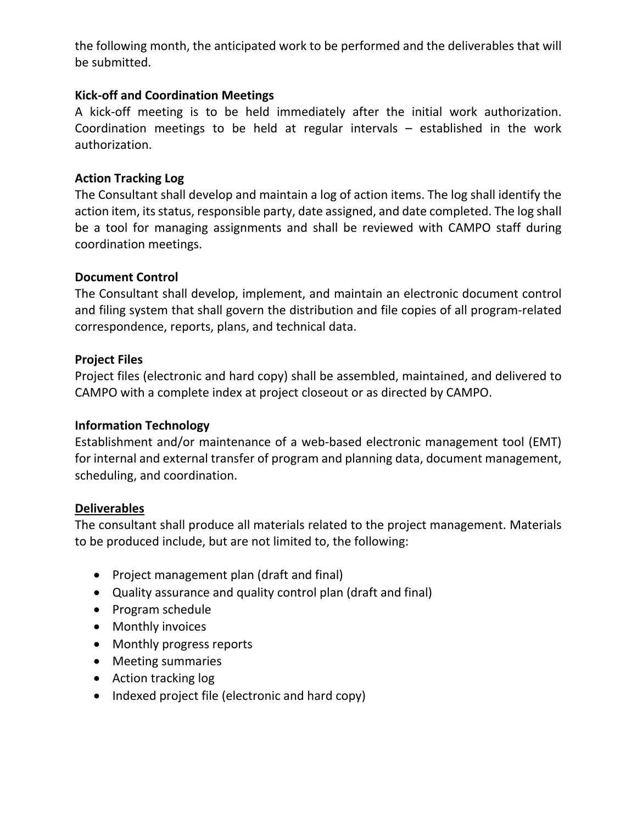#### **4. SCOPE OF SERVICES**

#### **Task 1 – PROGRAM ADMINSTRATION AND MANAGEMENT**

This task shall include management of all project activities and work. This task will involve continuous project coordination and administration; preparation of monthly progress reports, invoices, and billings; meetings and coordination activities; preparation of meeting minutes; quality assurance/quality control (QA/QC); and other project management activities specified by CAMPO.

#### **Project Management Plan**

Outlines project team organization, roles and responsibilities; program schedule; coordination and communication procedures; document and graphics formatting protocols; QA/QC plan; filing protocols; contract close‐out procedures, and other important operational information.

#### **Quality Assurance/Quality Control Plan**

Documents the quality control program to be implemented by the consultant team. It will outline review processes for all work to assure that the work is conducted and completed in accordance with CAMPO requirements and applicable standards.

#### **Management of Work Activities**

Management of all project activities and work to assure they are conducted and completed in accordance with applicable CAMPO requirements and applicable Federal and State statutes, regulations, rules and guidelines.

#### **Program Schedule**

Schedules will be developed, maintained, and actively monitored for the corridor study and its associated major work program or effort. Progress will be reviewed during coordination meetings.

#### **Invoice Preparation and Submittal**

Monthly invoices prepared in accordance with current CAMPO invoicing procedures.

#### **Progress Report Preparation and Submittal**

Unless otherwise directed in the work authorization, progress reports shall be submitted no later than the tenth day of the month following the month to which they apply. Each invoice shall include a copy of the progress report or reports for the period covered by the invoice. Each progress report shall specify, for each type of work that has been assigned under a work authorization, any deliverables that were completed during that month or other backup documentation as requested, physical and financial percent complete for that work, the precise nature of work that was done that did not result in a deliverable, whether the work is on schedule or not, any issues that may delay the work in the future, any actions by CAMPO or other remedial actions that are required, and for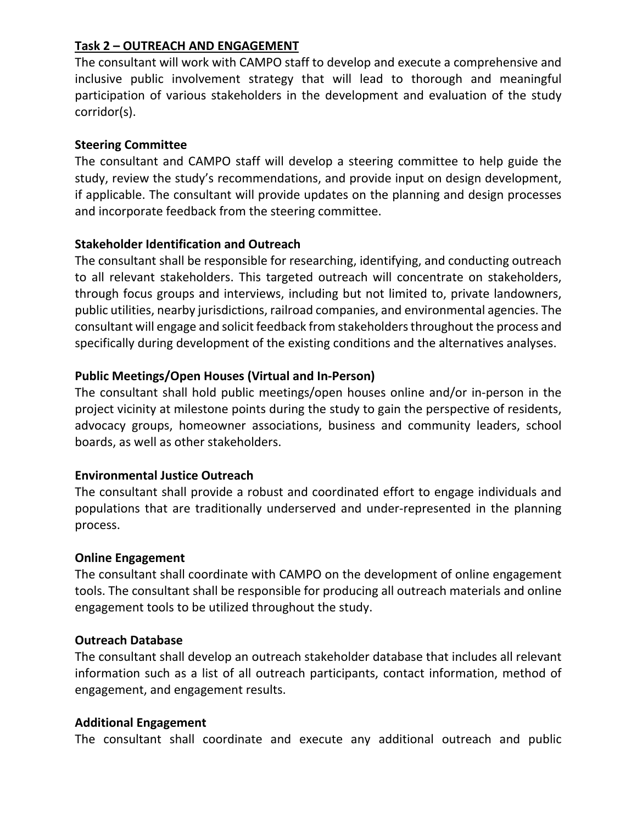the following month, the anticipated work to be performed and the deliverables that will be submitted.

### **Kick‐off and Coordination Meetings**

A kick-off meeting is to be held immediately after the initial work authorization. Coordination meetings to be held at regular intervals – established in the work authorization.

## **Action Tracking Log**

The Consultant shall develop and maintain a log of action items. The log shall identify the action item, its status, responsible party, date assigned, and date completed. The log shall be a tool for managing assignments and shall be reviewed with CAMPO staff during coordination meetings.

#### **Document Control**

The Consultant shall develop, implement, and maintain an electronic document control and filing system that shall govern the distribution and file copies of all program‐related correspondence, reports, plans, and technical data.

## **Project Files**

Project files (electronic and hard copy) shall be assembled, maintained, and delivered to CAMPO with a complete index at project closeout or as directed by CAMPO.

#### **Information Technology**

Establishment and/or maintenance of a web-based electronic management tool (EMT) for internal and external transfer of program and planning data, document management, scheduling, and coordination.

#### **Deliverables**

The consultant shall produce all materials related to the project management. Materials to be produced include, but are not limited to, the following:

- Project management plan (draft and final)
- Quality assurance and quality control plan (draft and final)
- Program schedule
- Monthly invoices
- Monthly progress reports
- Meeting summaries
- Action tracking log
- Indexed project file (electronic and hard copy)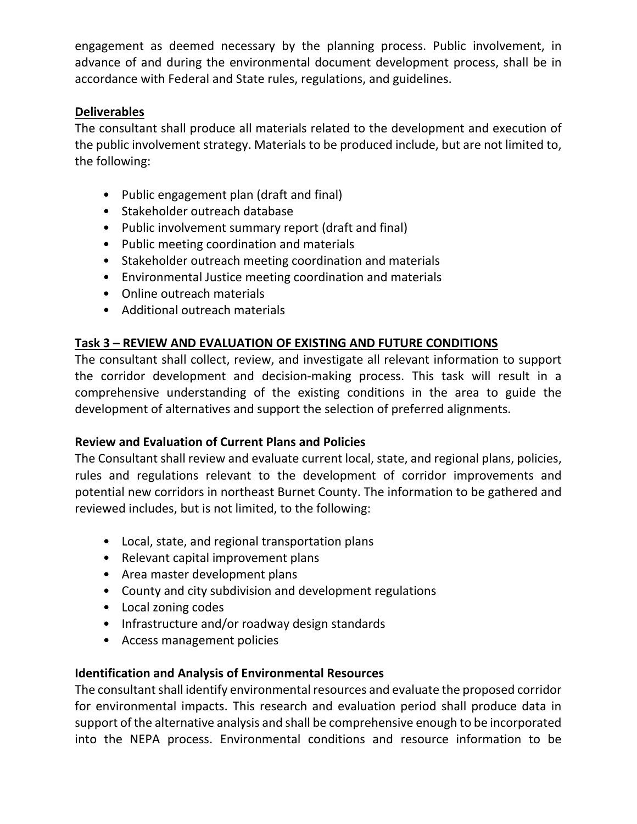## **Task 2 – OUTREACH AND ENGAGEMENT**

The consultant will work with CAMPO staff to develop and execute a comprehensive and inclusive public involvement strategy that will lead to thorough and meaningful participation of various stakeholders in the development and evaluation of the study corridor(s).

## **Steering Committee**

The consultant and CAMPO staff will develop a steering committee to help guide the study, review the study's recommendations, and provide input on design development, if applicable. The consultant will provide updates on the planning and design processes and incorporate feedback from the steering committee.

## **Stakeholder Identification and Outreach**

The consultant shall be responsible for researching, identifying, and conducting outreach to all relevant stakeholders. This targeted outreach will concentrate on stakeholders, through focus groups and interviews, including but not limited to, private landowners, public utilities, nearby jurisdictions, railroad companies, and environmental agencies. The consultant will engage and solicit feedback from stakeholders throughout the process and specifically during development of the existing conditions and the alternatives analyses.

## **Public Meetings/Open Houses (Virtual and In‐Person)**

The consultant shall hold public meetings/open houses online and/or in‐person in the project vicinity at milestone points during the study to gain the perspective of residents, advocacy groups, homeowner associations, business and community leaders, school boards, as well as other stakeholders.

## **Environmental Justice Outreach**

The consultant shall provide a robust and coordinated effort to engage individuals and populations that are traditionally underserved and under‐represented in the planning process.

#### **Online Engagement**

The consultant shall coordinate with CAMPO on the development of online engagement tools. The consultant shall be responsible for producing all outreach materials and online engagement tools to be utilized throughout the study.

#### **Outreach Database**

The consultant shall develop an outreach stakeholder database that includes all relevant information such as a list of all outreach participants, contact information, method of engagement, and engagement results.

#### **Additional Engagement**

The consultant shall coordinate and execute any additional outreach and public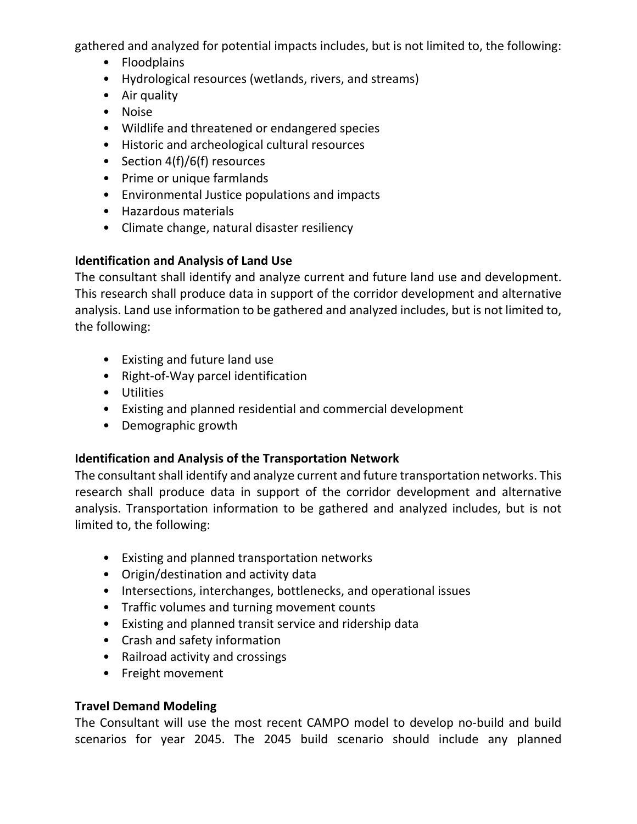engagement as deemed necessary by the planning process. Public involvement, in advance of and during the environmental document development process, shall be in accordance with Federal and State rules, regulations, and guidelines.

## **Deliverables**

The consultant shall produce all materials related to the development and execution of the public involvement strategy. Materials to be produced include, but are not limited to, the following:

- Public engagement plan (draft and final)
- Stakeholder outreach database
- Public involvement summary report (draft and final)
- Public meeting coordination and materials
- Stakeholder outreach meeting coordination and materials
- Environmental Justice meeting coordination and materials
- Online outreach materials
- Additional outreach materials

# **Task 3 – REVIEW AND EVALUATION OF EXISTING AND FUTURE CONDITIONS**

The consultant shall collect, review, and investigate all relevant information to support the corridor development and decision‐making process. This task will result in a comprehensive understanding of the existing conditions in the area to guide the development of alternatives and support the selection of preferred alignments.

## **Review and Evaluation of Current Plans and Policies**

The Consultant shall review and evaluate current local, state, and regional plans, policies, rules and regulations relevant to the development of corridor improvements and potential new corridors in northeast Burnet County. The information to be gathered and reviewed includes, but is not limited, to the following:

- Local, state, and regional transportation plans
- Relevant capital improvement plans
- Area master development plans
- County and city subdivision and development regulations
- Local zoning codes
- Infrastructure and/or roadway design standards
- Access management policies

## **Identification and Analysis of Environmental Resources**

The consultant shall identify environmental resources and evaluate the proposed corridor for environmental impacts. This research and evaluation period shall produce data in support of the alternative analysis and shall be comprehensive enough to be incorporated into the NEPA process. Environmental conditions and resource information to be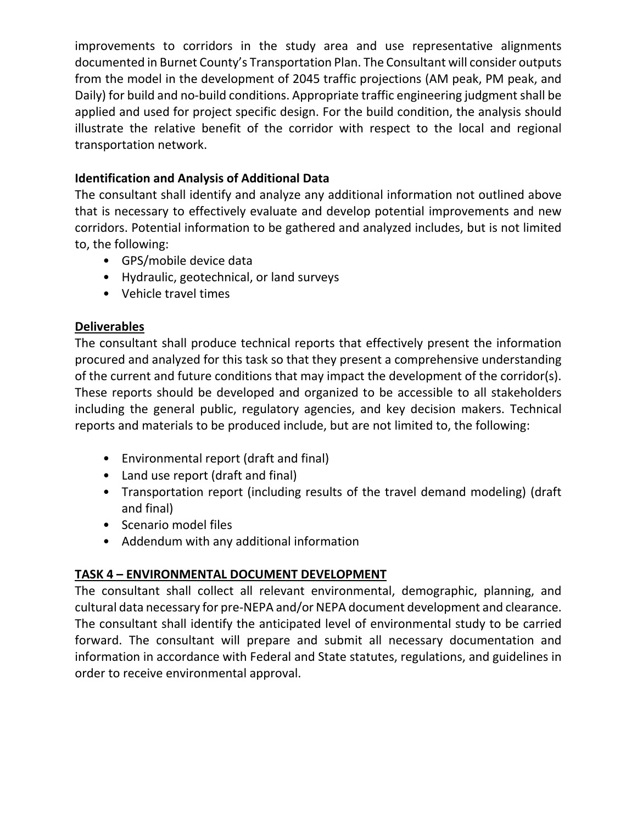gathered and analyzed for potential impacts includes, but is not limited to, the following:

- Floodplains
- Hydrological resources (wetlands, rivers, and streams)
- Air quality
- Noise
- Wildlife and threatened or endangered species
- Historic and archeological cultural resources
- Section 4(f)/6(f) resources
- Prime or unique farmlands
- Environmental Justice populations and impacts
- Hazardous materials
- Climate change, natural disaster resiliency

## **Identification and Analysis of Land Use**

The consultant shall identify and analyze current and future land use and development. This research shall produce data in support of the corridor development and alternative analysis. Land use information to be gathered and analyzed includes, but is not limited to, the following:

- Existing and future land use
- Right‐of‐Way parcel identification
- Utilities
- Existing and planned residential and commercial development
- Demographic growth

#### **Identification and Analysis of the Transportation Network**

The consultant shall identify and analyze current and future transportation networks. This research shall produce data in support of the corridor development and alternative analysis. Transportation information to be gathered and analyzed includes, but is not limited to, the following:

- Existing and planned transportation networks
- Origin/destination and activity data
- Intersections, interchanges, bottlenecks, and operational issues
- Traffic volumes and turning movement counts
- Existing and planned transit service and ridership data
- Crash and safety information
- Railroad activity and crossings
- Freight movement

#### **Travel Demand Modeling**

The Consultant will use the most recent CAMPO model to develop no‐build and build scenarios for year 2045. The 2045 build scenario should include any planned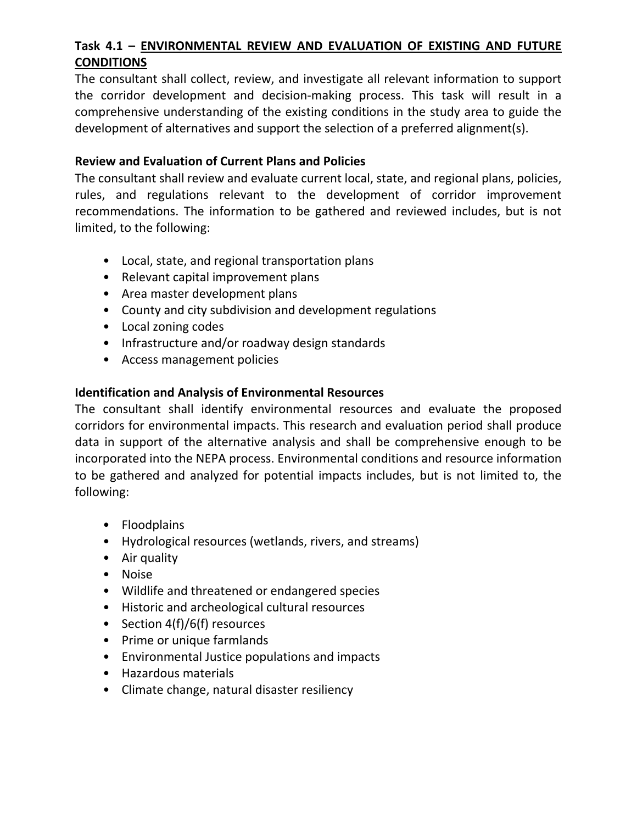improvements to corridors in the study area and use representative alignments documented in Burnet County's Transportation Plan. The Consultant will consider outputs from the model in the development of 2045 traffic projections (AM peak, PM peak, and Daily) for build and no-build conditions. Appropriate traffic engineering judgment shall be applied and used for project specific design. For the build condition, the analysis should illustrate the relative benefit of the corridor with respect to the local and regional transportation network.

## **Identification and Analysis of Additional Data**

The consultant shall identify and analyze any additional information not outlined above that is necessary to effectively evaluate and develop potential improvements and new corridors. Potential information to be gathered and analyzed includes, but is not limited to, the following:

- GPS/mobile device data
- Hydraulic, geotechnical, or land surveys
- Vehicle travel times

# **Deliverables**

The consultant shall produce technical reports that effectively present the information procured and analyzed for this task so that they present a comprehensive understanding of the current and future conditions that may impact the development of the corridor(s). These reports should be developed and organized to be accessible to all stakeholders including the general public, regulatory agencies, and key decision makers. Technical reports and materials to be produced include, but are not limited to, the following:

- Environmental report (draft and final)
- Land use report (draft and final)
- Transportation report (including results of the travel demand modeling) (draft and final)
- Scenario model files
- Addendum with any additional information

# **TASK 4 – ENVIRONMENTAL DOCUMENT DEVELOPMENT**

The consultant shall collect all relevant environmental, demographic, planning, and cultural data necessary for pre‐NEPA and/or NEPA document development and clearance. The consultant shall identify the anticipated level of environmental study to be carried forward. The consultant will prepare and submit all necessary documentation and information in accordance with Federal and State statutes, regulations, and guidelines in order to receive environmental approval.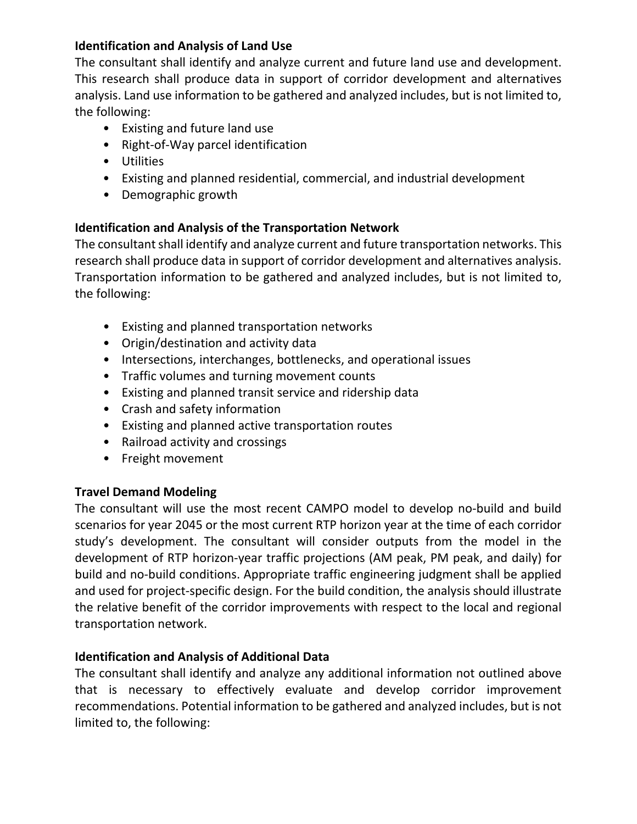# **Task 4.1 – ENVIRONMENTAL REVIEW AND EVALUATION OF EXISTING AND FUTURE CONDITIONS**

The consultant shall collect, review, and investigate all relevant information to support the corridor development and decision‐making process. This task will result in a comprehensive understanding of the existing conditions in the study area to guide the development of alternatives and support the selection of a preferred alignment(s).

#### **Review and Evaluation of Current Plans and Policies**

The consultant shall review and evaluate current local, state, and regional plans, policies, rules, and regulations relevant to the development of corridor improvement recommendations. The information to be gathered and reviewed includes, but is not limited, to the following:

- Local, state, and regional transportation plans
- Relevant capital improvement plans
- Area master development plans
- County and city subdivision and development regulations
- Local zoning codes
- Infrastructure and/or roadway design standards
- Access management policies

#### **Identification and Analysis of Environmental Resources**

The consultant shall identify environmental resources and evaluate the proposed corridors for environmental impacts. This research and evaluation period shall produce data in support of the alternative analysis and shall be comprehensive enough to be incorporated into the NEPA process. Environmental conditions and resource information to be gathered and analyzed for potential impacts includes, but is not limited to, the following:

- Floodplains
- Hydrological resources (wetlands, rivers, and streams)
- Air quality
- Noise
- Wildlife and threatened or endangered species
- Historic and archeological cultural resources
- Section 4(f)/6(f) resources
- Prime or unique farmlands
- Environmental Justice populations and impacts
- Hazardous materials
- Climate change, natural disaster resiliency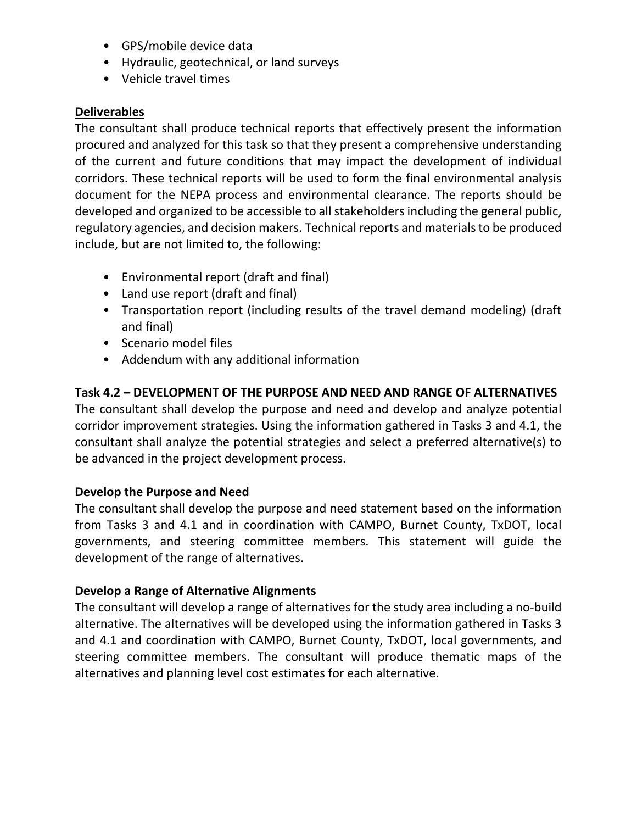## **Identification and Analysis of Land Use**

The consultant shall identify and analyze current and future land use and development. This research shall produce data in support of corridor development and alternatives analysis. Land use information to be gathered and analyzed includes, but is not limited to, the following:

- Existing and future land use
- Right‐of‐Way parcel identification
- Utilities
- Existing and planned residential, commercial, and industrial development
- Demographic growth

## **Identification and Analysis of the Transportation Network**

The consultant shall identify and analyze current and future transportation networks. This research shall produce data in support of corridor development and alternatives analysis. Transportation information to be gathered and analyzed includes, but is not limited to, the following:

- Existing and planned transportation networks
- Origin/destination and activity data
- Intersections, interchanges, bottlenecks, and operational issues
- Traffic volumes and turning movement counts
- Existing and planned transit service and ridership data
- Crash and safety information
- Existing and planned active transportation routes
- Railroad activity and crossings
- Freight movement

#### **Travel Demand Modeling**

The consultant will use the most recent CAMPO model to develop no‐build and build scenarios for year 2045 or the most current RTP horizon year at the time of each corridor study's development. The consultant will consider outputs from the model in the development of RTP horizon‐year traffic projections (AM peak, PM peak, and daily) for build and no‐build conditions. Appropriate traffic engineering judgment shall be applied and used for project-specific design. For the build condition, the analysis should illustrate the relative benefit of the corridor improvements with respect to the local and regional transportation network.

#### **Identification and Analysis of Additional Data**

The consultant shall identify and analyze any additional information not outlined above that is necessary to effectively evaluate and develop corridor improvement recommendations. Potential information to be gathered and analyzed includes, but is not limited to, the following: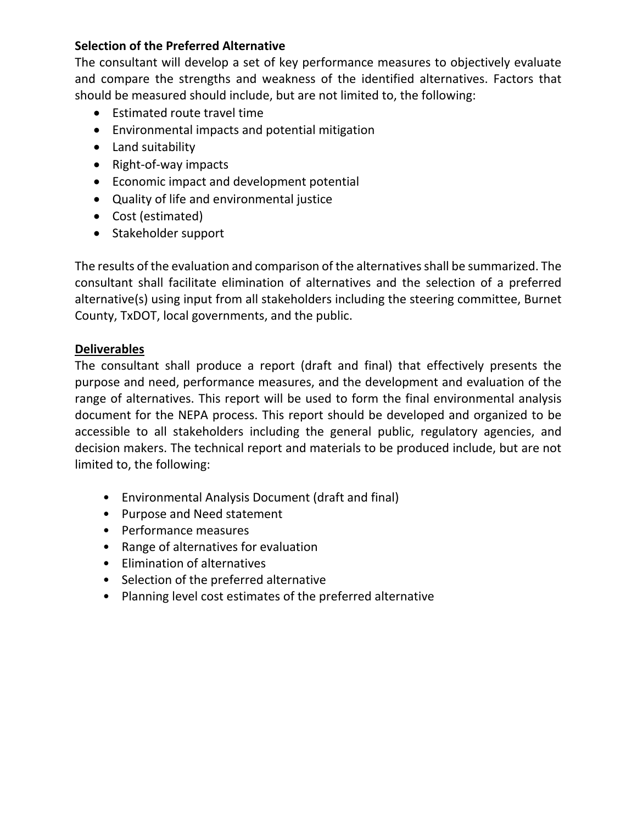- GPS/mobile device data
- Hydraulic, geotechnical, or land surveys
- Vehicle travel times

## **Deliverables**

The consultant shall produce technical reports that effectively present the information procured and analyzed for this task so that they present a comprehensive understanding of the current and future conditions that may impact the development of individual corridors. These technical reports will be used to form the final environmental analysis document for the NEPA process and environmental clearance. The reports should be developed and organized to be accessible to all stakeholders including the general public, regulatory agencies, and decision makers. Technical reports and materials to be produced include, but are not limited to, the following:

- Environmental report (draft and final)
- Land use report (draft and final)
- Transportation report (including results of the travel demand modeling) (draft and final)
- Scenario model files
- Addendum with any additional information

## **Task 4.2 – DEVELOPMENT OF THE PURPOSE AND NEED AND RANGE OF ALTERNATIVES**

The consultant shall develop the purpose and need and develop and analyze potential corridor improvement strategies. Using the information gathered in Tasks 3 and 4.1, the consultant shall analyze the potential strategies and select a preferred alternative(s) to be advanced in the project development process.

## **Develop the Purpose and Need**

The consultant shall develop the purpose and need statement based on the information from Tasks 3 and 4.1 and in coordination with CAMPO, Burnet County, TxDOT, local governments, and steering committee members. This statement will guide the development of the range of alternatives.

#### **Develop a Range of Alternative Alignments**

The consultant will develop a range of alternatives for the study area including a no‐build alternative. The alternatives will be developed using the information gathered in Tasks 3 and 4.1 and coordination with CAMPO, Burnet County, TxDOT, local governments, and steering committee members. The consultant will produce thematic maps of the alternatives and planning level cost estimates for each alternative.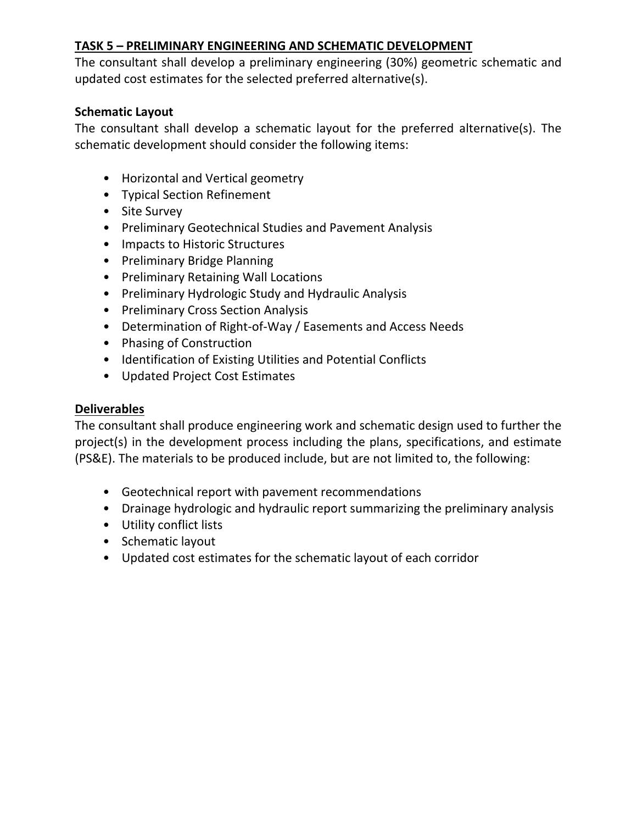## **Selection of the Preferred Alternative**

The consultant will develop a set of key performance measures to objectively evaluate and compare the strengths and weakness of the identified alternatives. Factors that should be measured should include, but are not limited to, the following:

- Estimated route travel time
- Environmental impacts and potential mitigation
- Land suitability
- Right-of-way impacts
- Economic impact and development potential
- Quality of life and environmental justice
- Cost (estimated)
- Stakeholder support

The results of the evaluation and comparison of the alternatives shall be summarized. The consultant shall facilitate elimination of alternatives and the selection of a preferred alternative(s) using input from all stakeholders including the steering committee, Burnet County, TxDOT, local governments, and the public.

## **Deliverables**

The consultant shall produce a report (draft and final) that effectively presents the purpose and need, performance measures, and the development and evaluation of the range of alternatives. This report will be used to form the final environmental analysis document for the NEPA process. This report should be developed and organized to be accessible to all stakeholders including the general public, regulatory agencies, and decision makers. The technical report and materials to be produced include, but are not limited to, the following:

- Environmental Analysis Document (draft and final)
- Purpose and Need statement
- Performance measures
- Range of alternatives for evaluation
- Elimination of alternatives
- Selection of the preferred alternative
- Planning level cost estimates of the preferred alternative